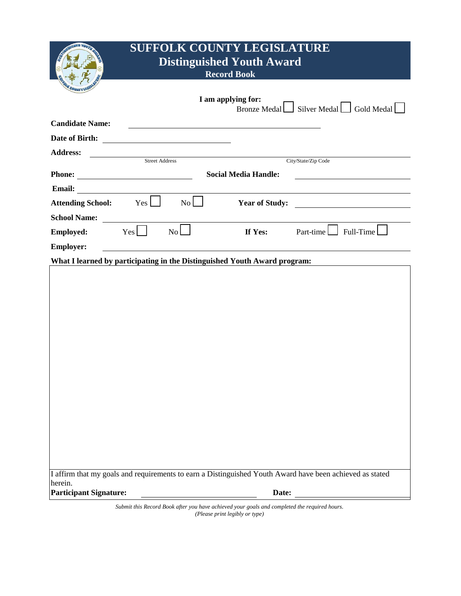|                               | <b>SUFFOLK COUNTY LEGISLATURE</b><br><b>Distinguished Youth Award</b><br><b>Record Book</b>                          |                       |                                                                                              |                                                                                                          |
|-------------------------------|----------------------------------------------------------------------------------------------------------------------|-----------------------|----------------------------------------------------------------------------------------------|----------------------------------------------------------------------------------------------------------|
|                               |                                                                                                                      |                       | I am applying for:                                                                           | Bronze Medal Silver Medal Gold Medal $\Box$                                                              |
| <b>Candidate Name:</b>        |                                                                                                                      |                       |                                                                                              |                                                                                                          |
|                               |                                                                                                                      |                       |                                                                                              |                                                                                                          |
| <b>Address:</b>               |                                                                                                                      | <b>Street Address</b> |                                                                                              |                                                                                                          |
|                               |                                                                                                                      |                       |                                                                                              | City/State/Zip Code                                                                                      |
|                               |                                                                                                                      |                       | <b>Social Media Handle:</b>                                                                  |                                                                                                          |
| <b>Email:</b>                 | <u> 1980 - Jan Stein Stein Stein Stein Stein Stein Stein Stein Stein Stein Stein Stein Stein Stein Stein Stein S</u> |                       |                                                                                              |                                                                                                          |
| Attending School: Yes         |                                                                                                                      | No                    |                                                                                              | <b>The Year of Study:</b>                                                                                |
| <b>School Name:</b>           |                                                                                                                      |                       |                                                                                              |                                                                                                          |
| <b>Employed:</b>              | $Yes$ $\Box$                                                                                                         | No                    | If Yes:                                                                                      | $Part-time$ Full-Time                                                                                    |
| <b>Employer:</b>              |                                                                                                                      |                       |                                                                                              |                                                                                                          |
|                               |                                                                                                                      |                       | What I learned by participating in the Distinguished Youth Award program:                    |                                                                                                          |
|                               |                                                                                                                      |                       |                                                                                              |                                                                                                          |
|                               |                                                                                                                      |                       |                                                                                              |                                                                                                          |
|                               |                                                                                                                      |                       |                                                                                              |                                                                                                          |
|                               |                                                                                                                      |                       |                                                                                              |                                                                                                          |
|                               |                                                                                                                      |                       |                                                                                              |                                                                                                          |
|                               |                                                                                                                      |                       |                                                                                              |                                                                                                          |
|                               |                                                                                                                      |                       |                                                                                              |                                                                                                          |
|                               |                                                                                                                      |                       |                                                                                              |                                                                                                          |
|                               |                                                                                                                      |                       |                                                                                              |                                                                                                          |
|                               |                                                                                                                      |                       |                                                                                              |                                                                                                          |
|                               |                                                                                                                      |                       |                                                                                              |                                                                                                          |
|                               |                                                                                                                      |                       |                                                                                              |                                                                                                          |
|                               |                                                                                                                      |                       |                                                                                              |                                                                                                          |
|                               |                                                                                                                      |                       |                                                                                              |                                                                                                          |
|                               |                                                                                                                      |                       |                                                                                              |                                                                                                          |
|                               |                                                                                                                      |                       |                                                                                              | I affirm that my goals and requirements to earn a Distinguished Youth Award have been achieved as stated |
| herein.                       |                                                                                                                      |                       |                                                                                              |                                                                                                          |
| <b>Participant Signature:</b> |                                                                                                                      |                       | Date:                                                                                        |                                                                                                          |
|                               |                                                                                                                      |                       | Submit this Record Book after you have achieved your goals and completed the required hours. |                                                                                                          |

*(Please print legibly or type)*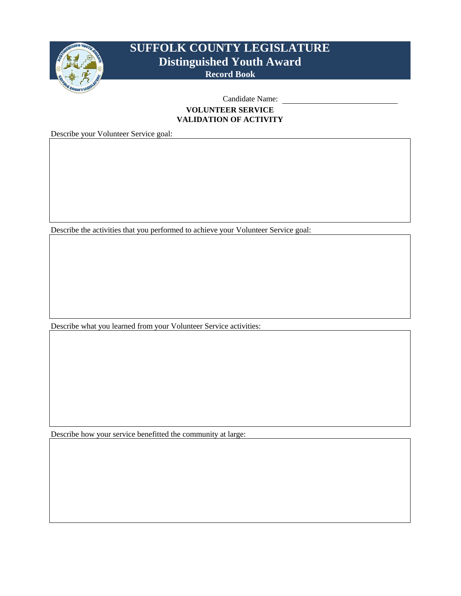

### Candidate Name: **VOLUNTEER SERVICE VALIDATION OF ACTIVITY**

Describe your Volunteer Service goal:

Describe the activities that you performed to achieve your Volunteer Service goal:

Describe what you learned from your Volunteer Service activities:

Describe how your service benefitted the community at large: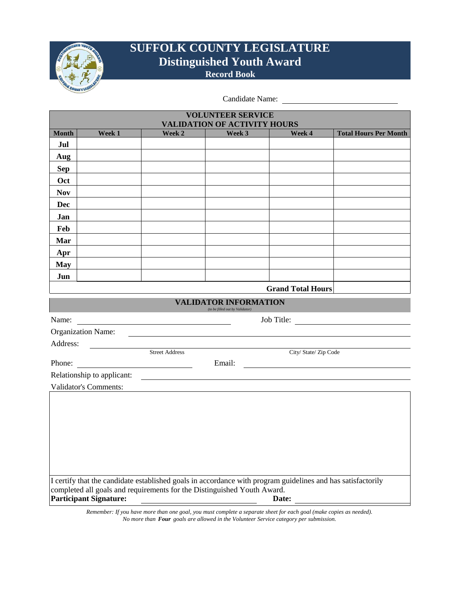

Candidate Name:

| <b>VALIDATION OF ACTIVITY HOURS</b><br><b>Total Hours Per Month</b><br><b>Month</b><br>Week 1<br>Week 2<br>Week 3<br>Week 4                                                            |  |  |  |  |  |
|----------------------------------------------------------------------------------------------------------------------------------------------------------------------------------------|--|--|--|--|--|
|                                                                                                                                                                                        |  |  |  |  |  |
| Jul                                                                                                                                                                                    |  |  |  |  |  |
| Aug                                                                                                                                                                                    |  |  |  |  |  |
| <b>Sep</b>                                                                                                                                                                             |  |  |  |  |  |
| Oct                                                                                                                                                                                    |  |  |  |  |  |
| <b>Nov</b>                                                                                                                                                                             |  |  |  |  |  |
| Dec                                                                                                                                                                                    |  |  |  |  |  |
| Jan                                                                                                                                                                                    |  |  |  |  |  |
| Feb                                                                                                                                                                                    |  |  |  |  |  |
| Mar                                                                                                                                                                                    |  |  |  |  |  |
| Apr                                                                                                                                                                                    |  |  |  |  |  |
| <b>May</b>                                                                                                                                                                             |  |  |  |  |  |
| Jun                                                                                                                                                                                    |  |  |  |  |  |
| <b>Grand Total Hours</b>                                                                                                                                                               |  |  |  |  |  |
| <b>VALIDATOR INFORMATION</b><br>(to be filled out by Validator)                                                                                                                        |  |  |  |  |  |
| Job Title:<br>Name:                                                                                                                                                                    |  |  |  |  |  |
| <b>Organization Name:</b>                                                                                                                                                              |  |  |  |  |  |
| Address:                                                                                                                                                                               |  |  |  |  |  |
| <b>Street Address</b><br>City/ State/ Zip Code                                                                                                                                         |  |  |  |  |  |
| Email:<br>Phone:                                                                                                                                                                       |  |  |  |  |  |
| Relationship to applicant:                                                                                                                                                             |  |  |  |  |  |
| Validator's Comments:                                                                                                                                                                  |  |  |  |  |  |
|                                                                                                                                                                                        |  |  |  |  |  |
|                                                                                                                                                                                        |  |  |  |  |  |
|                                                                                                                                                                                        |  |  |  |  |  |
|                                                                                                                                                                                        |  |  |  |  |  |
|                                                                                                                                                                                        |  |  |  |  |  |
|                                                                                                                                                                                        |  |  |  |  |  |
|                                                                                                                                                                                        |  |  |  |  |  |
| I certify that the candidate established goals in accordance with program guidelines and has satisfactorily<br>completed all goals and requirements for the Distinguished Youth Award. |  |  |  |  |  |
| <b>Participant Signature:</b><br>Date:                                                                                                                                                 |  |  |  |  |  |

*Remember: If you have more than one goal, you must complete a separate sheet for each goal (make copies as needed). No more than Four goals are allowed in the Volunteer Service category per submission.*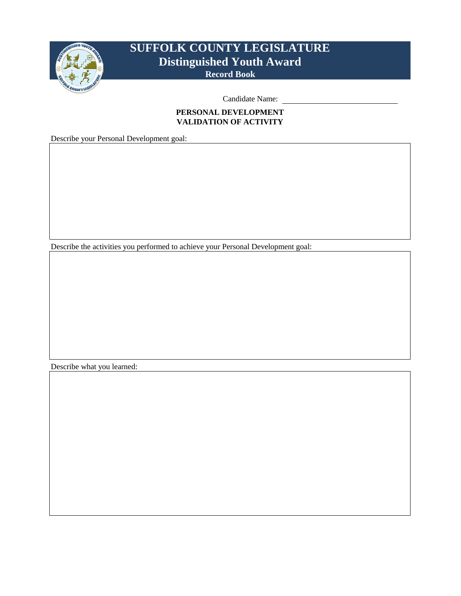

Candidate Name:

### **PERSONAL DEVELOPMENT VALIDATION OF ACTIVITY**

Describe your Personal Development goal:

Describe the activities you performed to achieve your Personal Development goal:

Describe what you learned: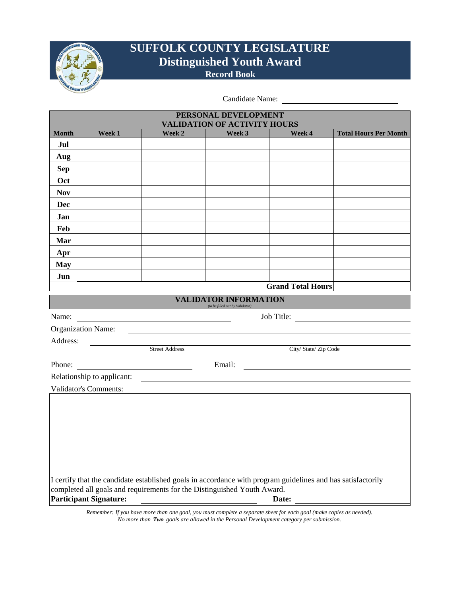

Candidate Name:

| PERSONAL DEVELOPMENT                                                                                                                                                                   |                               |                                               |                                                                 |                          |                              |
|----------------------------------------------------------------------------------------------------------------------------------------------------------------------------------------|-------------------------------|-----------------------------------------------|-----------------------------------------------------------------|--------------------------|------------------------------|
| <b>VALIDATION OF ACTIVITY HOURS</b>                                                                                                                                                    |                               |                                               |                                                                 |                          |                              |
| <b>Month</b>                                                                                                                                                                           | Week 1                        | Week 2                                        | Week 3                                                          | Week 4                   | <b>Total Hours Per Month</b> |
| Jul                                                                                                                                                                                    |                               |                                               |                                                                 |                          |                              |
| Aug                                                                                                                                                                                    |                               |                                               |                                                                 |                          |                              |
| <b>Sep</b>                                                                                                                                                                             |                               |                                               |                                                                 |                          |                              |
| Oct                                                                                                                                                                                    |                               |                                               |                                                                 |                          |                              |
| <b>Nov</b>                                                                                                                                                                             |                               |                                               |                                                                 |                          |                              |
| Dec                                                                                                                                                                                    |                               |                                               |                                                                 |                          |                              |
| Jan                                                                                                                                                                                    |                               |                                               |                                                                 |                          |                              |
| Feb                                                                                                                                                                                    |                               |                                               |                                                                 |                          |                              |
| Mar                                                                                                                                                                                    |                               |                                               |                                                                 |                          |                              |
| Apr                                                                                                                                                                                    |                               |                                               |                                                                 |                          |                              |
| <b>May</b>                                                                                                                                                                             |                               |                                               |                                                                 |                          |                              |
| Jun                                                                                                                                                                                    |                               |                                               |                                                                 |                          |                              |
|                                                                                                                                                                                        |                               |                                               |                                                                 | <b>Grand Total Hours</b> |                              |
|                                                                                                                                                                                        |                               |                                               | <b>VALIDATOR INFORMATION</b><br>(to be filled out by Validator) |                          |                              |
| Name:                                                                                                                                                                                  |                               | <u> 1980 - Andrea Andrew Maria (h. 1980).</u> |                                                                 | Job Title:               |                              |
|                                                                                                                                                                                        | Organization Name:            |                                               |                                                                 |                          |                              |
| Address:                                                                                                                                                                               |                               |                                               |                                                                 |                          |                              |
|                                                                                                                                                                                        |                               | <b>Street Address</b>                         |                                                                 | City/State/Zip Code      |                              |
|                                                                                                                                                                                        | Phone:                        |                                               |                                                                 | Email:                   |                              |
|                                                                                                                                                                                        | Relationship to applicant:    |                                               |                                                                 |                          |                              |
|                                                                                                                                                                                        | <b>Validator's Comments:</b>  |                                               |                                                                 |                          |                              |
|                                                                                                                                                                                        |                               |                                               |                                                                 |                          |                              |
|                                                                                                                                                                                        |                               |                                               |                                                                 |                          |                              |
|                                                                                                                                                                                        |                               |                                               |                                                                 |                          |                              |
|                                                                                                                                                                                        |                               |                                               |                                                                 |                          |                              |
|                                                                                                                                                                                        |                               |                                               |                                                                 |                          |                              |
|                                                                                                                                                                                        |                               |                                               |                                                                 |                          |                              |
|                                                                                                                                                                                        |                               |                                               |                                                                 |                          |                              |
| I certify that the candidate established goals in accordance with program guidelines and has satisfactorily<br>completed all goals and requirements for the Distinguished Youth Award. |                               |                                               |                                                                 |                          |                              |
|                                                                                                                                                                                        |                               |                                               |                                                                 | Date:                    |                              |
|                                                                                                                                                                                        | <b>Participant Signature:</b> |                                               |                                                                 |                          |                              |

*Remember: If you have more than one goal, you must complete a separate sheet for each goal (make copies as needed). No more than Two goals are allowed in the Personal Development category per submission.*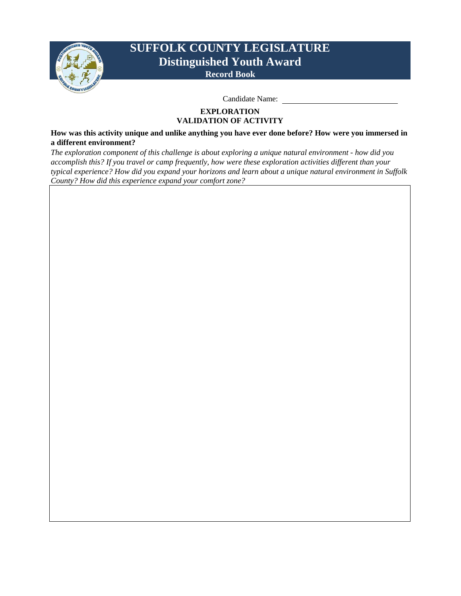

Candidate Name:

#### **EXPLORATION VALIDATION OF ACTIVITY**

**How was this activity unique and unlike anything you have ever done before? How were you immersed in a different environment?**

*The exploration component of this challenge is about exploring a unique natural environment - how did you accomplish this? If you travel or camp frequently, how were these exploration activities different than your typical experience? How did you expand your horizons and learn about a unique natural environment in Suffolk County? How did this experience expand your comfort zone?*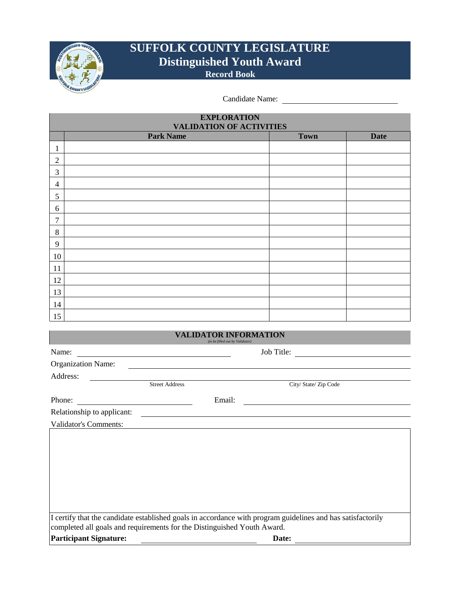

Candidate Name:

| <b>EXPLORATION</b><br><b>VALIDATION OF ACTIVITIES</b> |                  |             |             |  |  |
|-------------------------------------------------------|------------------|-------------|-------------|--|--|
|                                                       | <b>Park Name</b> | <b>Town</b> | <b>Date</b> |  |  |
| 1                                                     |                  |             |             |  |  |
| $\mathfrak{2}$                                        |                  |             |             |  |  |
| 3                                                     |                  |             |             |  |  |
| $\overline{4}$                                        |                  |             |             |  |  |
| 5                                                     |                  |             |             |  |  |
| 6                                                     |                  |             |             |  |  |
| 7                                                     |                  |             |             |  |  |
| 8                                                     |                  |             |             |  |  |
| 9                                                     |                  |             |             |  |  |
| 10                                                    |                  |             |             |  |  |
| 11                                                    |                  |             |             |  |  |
| 12                                                    |                  |             |             |  |  |
| 13                                                    |                  |             |             |  |  |
| 14                                                    |                  |             |             |  |  |
| 15                                                    |                  |             |             |  |  |

| VALIDATOR INFORMATION<br>(to be filled out by Validator)                                                                                                                               |                       |            |                       |  |
|----------------------------------------------------------------------------------------------------------------------------------------------------------------------------------------|-----------------------|------------|-----------------------|--|
| Name:                                                                                                                                                                                  |                       | Job Title: |                       |  |
| <b>Organization Name:</b>                                                                                                                                                              |                       |            |                       |  |
| Address:                                                                                                                                                                               |                       |            |                       |  |
|                                                                                                                                                                                        | <b>Street Address</b> |            | City/ State/ Zip Code |  |
| Phone:                                                                                                                                                                                 |                       | Email:     |                       |  |
| Relationship to applicant:                                                                                                                                                             |                       |            |                       |  |
| <b>Validator's Comments:</b>                                                                                                                                                           |                       |            |                       |  |
|                                                                                                                                                                                        |                       |            |                       |  |
|                                                                                                                                                                                        |                       |            |                       |  |
|                                                                                                                                                                                        |                       |            |                       |  |
|                                                                                                                                                                                        |                       |            |                       |  |
|                                                                                                                                                                                        |                       |            |                       |  |
|                                                                                                                                                                                        |                       |            |                       |  |
|                                                                                                                                                                                        |                       |            |                       |  |
| I certify that the candidate established goals in accordance with program guidelines and has satisfactorily<br>completed all goals and requirements for the Distinguished Youth Award. |                       |            |                       |  |
| <b>Participant Signature:</b>                                                                                                                                                          |                       | Date:      |                       |  |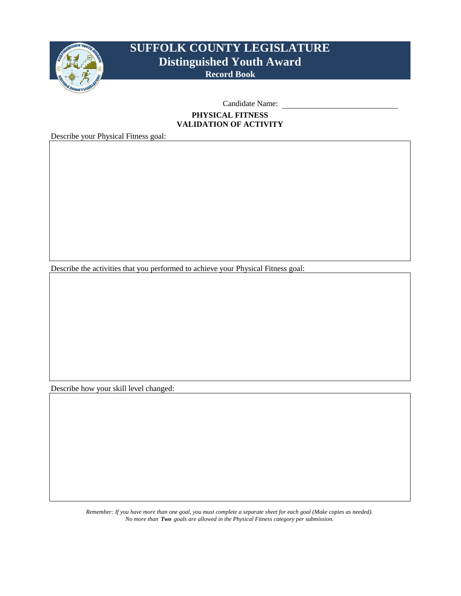

Candidate Name:

#### **PHYSICAL FITNESS VALIDATION OF ACTIVITY**

Describe your Physical Fitness goal:

Describe the activities that you performed to achieve your Physical Fitness goal:

Describe how your skill level changed:

*Remember: If you have more than one goal, you must complete a separate sheet for each goal (Make copies as needed). No more than Two goals are allowed in the Physical Fitness category per submission.*